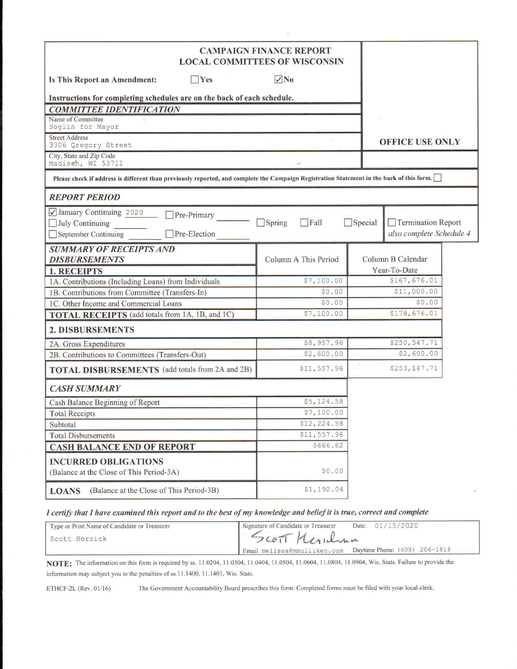| <b>CAMPAIGN FINANCE REPORT</b><br><b>LOCAL COMMITTEES OF WISCONSIN</b>                                                                    |                              |                |                                                |  |
|-------------------------------------------------------------------------------------------------------------------------------------------|------------------------------|----------------|------------------------------------------------|--|
| $\Box$ Yes<br>Is This Report an Amendment:                                                                                                | $\sqrt{N_0}$                 |                |                                                |  |
| Instructions for completing schedules are on the back of each schedule.                                                                   |                              |                |                                                |  |
| <b>COMMITTEE IDENTIFICATION</b>                                                                                                           |                              |                |                                                |  |
| Name of Committee<br>Soglin for Mayor                                                                                                     |                              |                |                                                |  |
| <b>Street Address</b><br>3306 Gregory Street                                                                                              |                              |                | <b>OFFICE USE ONLY</b>                         |  |
| City, State and Zip Code<br>Madison, WI 53711                                                                                             |                              |                |                                                |  |
| Please check if address is different than previously reported, and complete the Campaign Registration Statement in the back of this form. |                              |                |                                                |  |
| <b>REPORT PERIOD</b>                                                                                                                      |                              |                |                                                |  |
| January Continuing 2020<br>Pre-Primary<br>$\Box$ July Continuing<br>Pre-Election<br>September Continuing                                  | $\Box$ Spring<br>$\Box$ Fall | $\Box$ Special | Termination Report<br>also complete Schedule 4 |  |
| <b>SUMMARY OF RECEIPTS AND</b>                                                                                                            |                              |                |                                                |  |
| <b>DISBURSEMENTS</b>                                                                                                                      | Column A This Period         |                | Column B Calendar                              |  |
| <b>1. RECEIPTS</b>                                                                                                                        |                              |                | Year-To-Date                                   |  |
| 1A. Contributions (Including Loans) from Individuals                                                                                      | \$7,100.00                   |                | \$167,676.01                                   |  |
| 1B. Contributions from Committee (Transfers-In)                                                                                           | \$0.00                       |                | \$11,000.00                                    |  |
| 1C. Other Income and Commercial Loans                                                                                                     | \$0.00                       |                | \$0.00                                         |  |
| TOTAL RECEIPTS (add totals from 1A, 1B, and 1C)                                                                                           | \$7,100.00                   |                | \$178,676.01                                   |  |
| <b>2. DISBURSEMENTS</b>                                                                                                                   |                              |                |                                                |  |
| 2A. Gross Expenditures                                                                                                                    | \$8,957.96                   |                | \$250,547.71                                   |  |
| 2B. Contributions to Committees (Transfers-Out)                                                                                           | \$2,600.00                   |                | \$2,600.00                                     |  |
| <b>TOTAL DISBURSEMENTS</b> (add totals from 2A and 2B)                                                                                    | \$11,557.96                  |                | \$253,147.71                                   |  |
| <b>CASH SUMMARY</b>                                                                                                                       |                              |                |                                                |  |
| Cash Balance Beginning of Report                                                                                                          | \$5,124.58                   |                |                                                |  |
| <b>Total Receipts</b>                                                                                                                     | \$7,100.00                   |                |                                                |  |
| Subtotal                                                                                                                                  | \$12,224.58                  |                |                                                |  |
| <b>Total Disbursements</b>                                                                                                                | \$11,557.96                  |                |                                                |  |
| <b>CASH BALANCE END OF REPORT</b>                                                                                                         | \$666.62                     |                |                                                |  |
| <b>INCURRED OBLIGATIONS</b><br>(Balance at the Close of This Period-3A)                                                                   | \$0.00                       |                |                                                |  |
| (Balance at the Close of This Period-3B)<br><b>LOANS</b>                                                                                  | \$1,192.04                   |                |                                                |  |

I certify that I have examined this report and to the best of my knowledge and belief it is true, correct and complete

| Type or Print Name of Candidate or Treasurer | Date: 01/15/2020<br>Signature of Candidate or Treasurer    |  |
|----------------------------------------------|------------------------------------------------------------|--|
| Scott Herrick                                | SCOTT Meridian                                             |  |
|                                              | Email melissa@mmulliken.com  Daytime Phone: (608) 206-1818 |  |

NOTE: The information on this form is required by ss. 11.0204, 11.0304, 11.0404, 11.0504, 11.0604, 11.0804, 11.0904, Wis. Stats. Failure to provide the information may subject you to the penalties of ss.11.1400, 11.1401, Wis. Stats.

ETHCF-2L (Rev. 01/16)

The Government Accountability Board prescribes this form. Completed forms must be filed with your local clerk.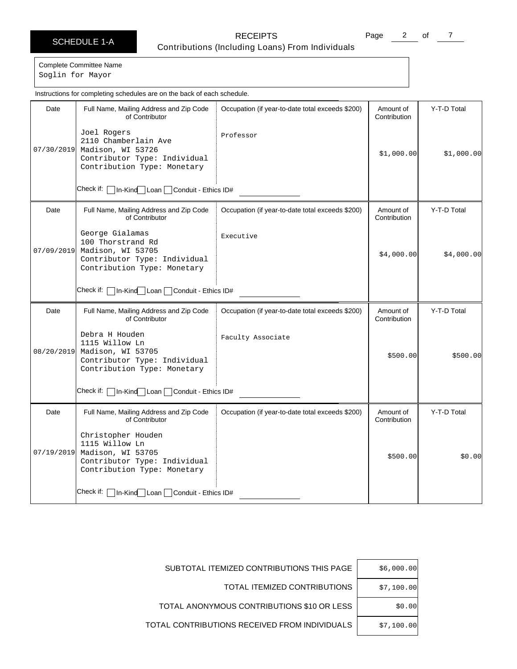# SCHEDULE 1-A RECEIPTS Contributions (Including Loans) From Individuals

Page 2 of 7

Complete Committee Name

Soglin for Mayor

|            | Instructions for completing schedules are on the back of each schedule.                                                  |                                                  |                           |             |
|------------|--------------------------------------------------------------------------------------------------------------------------|--------------------------------------------------|---------------------------|-------------|
| Date       | Full Name, Mailing Address and Zip Code<br>of Contributor                                                                | Occupation (if year-to-date total exceeds \$200) | Amount of<br>Contribution | Y-T-D Total |
| 07/30/2019 | Joel Rogers<br>2110 Chamberlain Ave<br>Madison, WI 53726<br>Contributor Type: Individual<br>Contribution Type: Monetary  | Professor                                        | \$1,000.00                | \$1,000.00  |
|            | Check if: I<br>In-Kind Loan<br>Conduit - Ethics ID#                                                                      |                                                  |                           |             |
| Date       | Full Name, Mailing Address and Zip Code<br>of Contributor                                                                | Occupation (if year-to-date total exceeds \$200) | Amount of<br>Contribution | Y-T-D Total |
| 07/09/2019 | George Gialamas<br>100 Thorstrand Rd<br>Madison, WI 53705<br>Contributor Type: Individual<br>Contribution Type: Monetary | Executive                                        | \$4,000.00]               | \$4,000.00] |
|            | Check if:   In-Kind Loan   Conduit - Ethics ID#                                                                          |                                                  |                           |             |
| Date       | Full Name, Mailing Address and Zip Code<br>of Contributor                                                                | Occupation (if year-to-date total exceeds \$200) | Amount of<br>Contribution | Y-T-D Total |
| 08/20/2019 | Debra H Houden<br>1115 Willow Ln<br>Madison, WI 53705<br>Contributor Type: Individual<br>Contribution Type: Monetary     | Faculty Associate                                | \$500.00                  | \$500.00    |
|            | Check if:   In-Kind   Loan   Conduit - Ethics ID#                                                                        |                                                  |                           |             |
| Date       | Full Name, Mailing Address and Zip Code<br>of Contributor                                                                | Occupation (if year-to-date total exceeds \$200) | Amount of<br>Contribution | Y-T-D Total |
| 07/19/2019 | Christopher Houden<br>1115 Willow Ln<br>Madison, WI 53705<br>Contributor Type: Individual<br>Contribution Type: Monetary |                                                  | \$500.00                  | \$0.00      |
|            | Check if:  <br>In-Kind   Loan   Conduit - Ethics ID#                                                                     |                                                  |                           |             |

| \$6,000.00 | SUBTOTAL ITEMIZED CONTRIBUTIONS THIS PAGE     |
|------------|-----------------------------------------------|
| \$7,100.00 | TOTAL ITEMIZED CONTRIBUTIONS                  |
| \$0.00     | TOTAL ANONYMOUS CONTRIBUTIONS \$10 OR LESS    |
| \$7,100.00 | TOTAL CONTRIBUTIONS RECEIVED FROM INDIVIDUALS |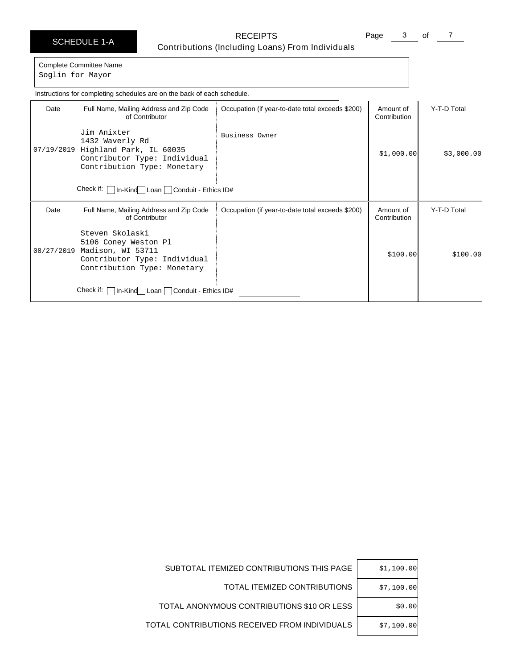# SCHEDULE 1-A RECEIPTS Contributions (Including Loans) From Individuals

Page 3 of 7

Complete Committee Name Soglin for Mayor

Date | Full Name, Mailing Address and Zip Code of Contributor Check if: In-Kind Loan Conduit - Ethics ID# Occupation (if year-to-date total exceeds \$200) | Amount of Contribution Y-T-D Total 07/19/2019 Highland Park, IL 60035 Jim Anixter 1432 Waverly Rd Contributor Type: Individual Contribution Type: Monetary Business Owner  $$1,000.00$   $$3,000.00$ Date | Full Name, Mailing Address and Zip Code of Contributor Check if: | In-Kind Loan | Conduit - Ethics ID# Occupation (if year-to-date total exceeds \$200) | Amount of Contribution Y-T-D Total 08/27/2019 Steven Skolaski 5106 Coney Weston Pl Madison, WI 53711 Contributor Type: Individual Contribution Type: Monetary  $$100.00$   $$100.00$ Instructions for completing schedules are on the back of each schedule.

| SUBTOTAL ITEMIZED CONTRIBUTIONS THIS PAGE     | \$1,100.00 |
|-----------------------------------------------|------------|
| TOTAL ITEMIZED CONTRIBUTIONS                  | \$7,100.00 |
| TOTAL ANONYMOUS CONTRIBUTIONS \$10 OR LESS    | \$0.00     |
| TOTAL CONTRIBUTIONS RECEIVED FROM INDIVIDUALS | \$7,100.00 |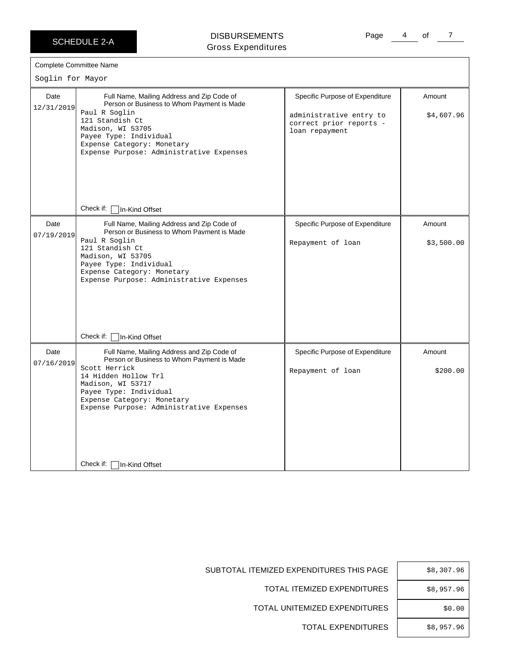SCHEDULE 2-A

## DISBURSEMENTS Gross Expenditures

Page 4 of 7

| Soglin for Mayor   | <b>Complete Committee Name</b>                                                                                                                                                                                                                             |                                                                                                         |                      |
|--------------------|------------------------------------------------------------------------------------------------------------------------------------------------------------------------------------------------------------------------------------------------------------|---------------------------------------------------------------------------------------------------------|----------------------|
| Date<br>12/31/2019 | Full Name, Mailing Address and Zip Code of<br>Person or Business to Whom Payment is Made<br>Paul R Soglin<br>121 Standish Ct<br>Madison, WI 53705<br>Payee Type: Individual<br>Expense Category: Monetary<br>Expense Purpose: Administrative Expenses      | Specific Purpose of Expenditure<br>administrative entry to<br>correct prior reports -<br>loan repayment | Amount<br>\$4,607.96 |
|                    | Check if: [<br>In-Kind Offset                                                                                                                                                                                                                              |                                                                                                         |                      |
| Date<br>07/19/2019 | Full Name, Mailing Address and Zip Code of<br>Person or Business to Whom Payment is Made<br>Paul R Soglin<br>121 Standish Ct<br>Madison, WI 53705<br>Payee Type: Individual<br>Expense Category: Monetary<br>Expense Purpose: Administrative Expenses      | Specific Purpose of Expenditure<br>Repayment of loan                                                    | Amount<br>\$3,500.00 |
|                    | Check if:<br>In-Kind Offset                                                                                                                                                                                                                                |                                                                                                         |                      |
| Date<br>07/16/2019 | Full Name, Mailing Address and Zip Code of<br>Person or Business to Whom Payment is Made<br>Scott Herrick<br>14 Hidden Hollow Trl<br>Madison, WI 53717<br>Payee Type: Individual<br>Expense Category: Monetary<br>Expense Purpose: Administrative Expenses | Specific Purpose of Expenditure<br>Repayment of loan                                                    | Amount<br>\$200.00   |
|                    | Check if:<br>In-Kind Offset                                                                                                                                                                                                                                |                                                                                                         |                      |

| \$8,307.96 |
|------------|
| \$8,957.96 |
| \$0.00     |
| \$8,957.96 |
|            |

SUBTOTAL ITEMIZED EXPENDITURES THIS P

TOTAL ITEMIZED EXPENDITU

TOTAL UNITEMIZED EXPENDITU

TOTAL EXPENDITU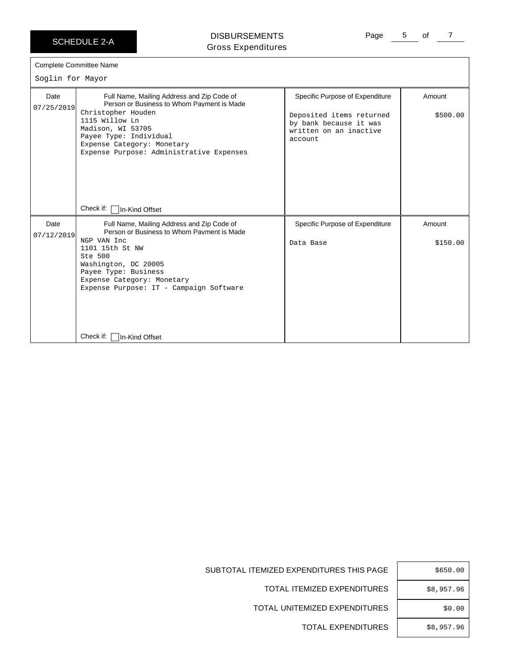SCHEDULE 2-A

# DISBURSEMENTS Gross Expenditures

Page 5 of 7

 $\sim$ lin for Ma

| SOGIIN IOF MAYOF   |                                                                                                                                                                                                                                                                                               |                                                                                                                            |                    |  |  |
|--------------------|-----------------------------------------------------------------------------------------------------------------------------------------------------------------------------------------------------------------------------------------------------------------------------------------------|----------------------------------------------------------------------------------------------------------------------------|--------------------|--|--|
| Date<br>07/25/2019 | Full Name, Mailing Address and Zip Code of<br>Person or Business to Whom Payment is Made<br>Christopher Houden<br>1115 Willow Ln<br>Madison, WI 53705<br>Payee Type: Individual<br>Expense Category: Monetary<br>Expense Purpose: Administrative Expenses<br>Check if: [<br>In-Kind Offset    | Specific Purpose of Expenditure<br>Deposited items returned<br>by bank because it was<br>written on an inactive<br>account | Amount<br>\$500.00 |  |  |
| Date<br>07/12/2019 | Full Name, Mailing Address and Zip Code of<br>Person or Business to Whom Payment is Made<br>NGP VAN Inc<br>1101 15th St NW<br>Ste 500<br>Washington, DC 20005<br>Payee Type: Business<br>Expense Category: Monetary<br>Expense Purpose: IT - Campaign Software<br>Check if:<br>In-Kind Offset | Specific Purpose of Expenditure<br>Data Base                                                                               | Amount<br>\$150.00 |  |  |

| \$650.00   |
|------------|
| \$8,957.96 |
| \$0.00     |
| \$8,957.96 |

SUBTOTAL ITEMIZED EXPENDITURES THIS PAGE

TOTAL ITEMIZED EXPENDITURES

TOTAL UNITEMIZED EXPENDITURES

TOTAL EXPENDITURES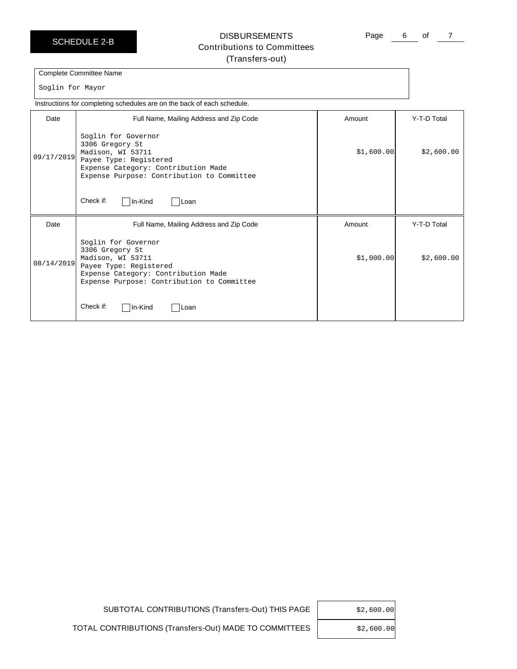SCHEDULE 2-B

# **DISBURSEMENTS** Contributions to Committees (Transfers-out)

Page 6 of 7

Complete Committee Name

Soglin for Mayor

Instructions for completing schedules are on the back of each schedule.

| Date       | Full Name, Mailing Address and Zip Code                                                                                                                                                                     | Amount      | Y-T-D Total |
|------------|-------------------------------------------------------------------------------------------------------------------------------------------------------------------------------------------------------------|-------------|-------------|
| 09/17/2019 | Soglin for Governor<br>3306 Gregory St<br>Madison, WI 53711<br>Payee Type: Registered<br>Expense Category: Contribution Made<br>Expense Purpose: Contribution to Committee<br>Check if:<br>In-Kind<br> Loan | \$1,600.00] | \$2,600.00  |
|            |                                                                                                                                                                                                             |             |             |
| Date       | Full Name, Mailing Address and Zip Code                                                                                                                                                                     | Amount      | Y-T-D Total |
| 08/14/2019 | Soglin for Governor<br>3306 Gregory St<br>Madison, WI 53711<br>Payee Type: Registered<br>Expense Category: Contribution Made<br>Expense Purpose: Contribution to Committee                                  | \$1,000.00] | \$2,600.00  |
|            | Check if:<br>In-Kind<br><b>ILoan</b>                                                                                                                                                                        |             |             |

SUBTOTAL CONTRIBUTIONS (Transfers-Out) THIS PAGE | \$2,600.00

TOTAL CONTRIBUTIONS (Transfers-Out) MADE TO COMMITTEES

\$2,600.00